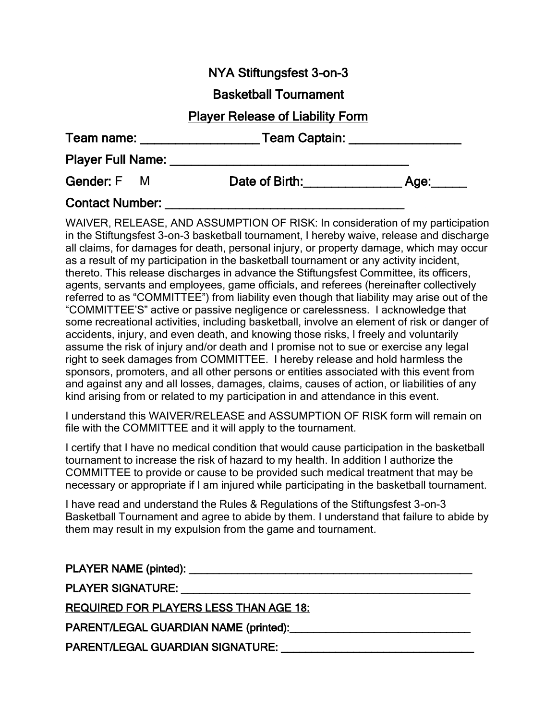## NYA Stiftungsfest 3-on-3

#### Basketball Tournament

### Player Release of Liability Form

| Team name: |  | <b>Team Captain:</b> |  |
|------------|--|----------------------|--|
|------------|--|----------------------|--|

Player Full Name: **Example 1** 

Gender: F M Date of Birth: Age:

# Contact Number:

WAIVER, RELEASE, AND ASSUMPTION OF RISK: In consideration of my participation in the Stiftungsfest 3-on-3 basketball tournament, I hereby waive, release and discharge all claims, for damages for death, personal injury, or property damage, which may occur as a result of my participation in the basketball tournament or any activity incident, thereto. This release discharges in advance the Stiftungsfest Committee, its officers, agents, servants and employees, game officials, and referees (hereinafter collectively referred to as "COMMITTEE") from liability even though that liability may arise out of the "COMMITTEE'S" active or passive negligence or carelessness. I acknowledge that some recreational activities, including basketball, involve an element of risk or danger of accidents, injury, and even death, and knowing those risks, I freely and voluntarily assume the risk of injury and/or death and I promise not to sue or exercise any legal right to seek damages from COMMITTEE. I hereby release and hold harmless the sponsors, promoters, and all other persons or entities associated with this event from and against any and all losses, damages, claims, causes of action, or liabilities of any kind arising from or related to my participation in and attendance in this event.

I understand this WAIVER/RELEASE and ASSUMPTION OF RISK form will remain on file with the COMMITTEE and it will apply to the tournament.

I certify that I have no medical condition that would cause participation in the basketball tournament to increase the risk of hazard to my health. In addition I authorize the COMMITTEE to provide or cause to be provided such medical treatment that may be necessary or appropriate if I am injured while participating in the basketball tournament.

I have read and understand the Rules & Regulations of the Stiftungsfest 3-on-3 Basketball Tournament and agree to abide by them. I understand that failure to abide by them may result in my expulsion from the game and tournament.

| <b>PLAYER SIGNATURE:</b>                                                                                       |
|----------------------------------------------------------------------------------------------------------------|
| <b>REQUIRED FOR PLAYERS LESS THAN AGE 18:</b>                                                                  |
| PARENT/LEGAL GUARDIAN NAME (printed): Name and the contract of the contract of the contract of the contract of |
| <b>PARENT/LEGAL GUARDIAN SIGNATURE:</b>                                                                        |